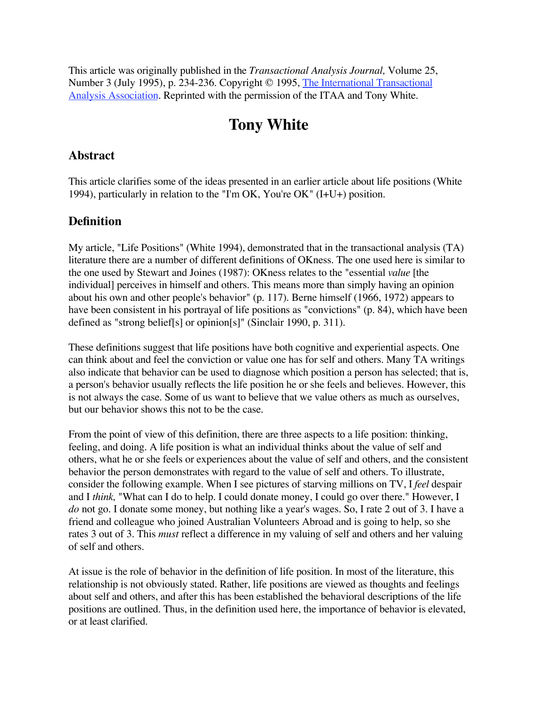This article was originally published in the *Transactional Analysis Journal,* Volume 25, Number 3 (July 1995), p. 234-236. Copyright © 1995, The International Transactional Analysis Association. Reprinted with the permission of the ITAA and Tony White.

# **Tony White**

#### **Abstract**

This article clarifies some of the ideas presented in an earlier article about life positions (White 1994), particularly in relation to the "I'm OK, You're OK" (I+U+) position.

## **Definition**

My article, "Life Positions" (White 1994), demonstrated that in the transactional analysis (TA) literature there are a number of different definitions of OKness. The one used here is similar to the one used by Stewart and Joines (1987): OKness relates to the "essential *value* [the individual] perceives in himself and others. This means more than simply having an opinion about his own and other people's behavior" (p. 117). Berne himself (1966, 1972) appears to have been consistent in his portrayal of life positions as "convictions" (p. 84), which have been defined as "strong belief[s] or opinion[s]" (Sinclair 1990, p. 311).

These definitions suggest that life positions have both cognitive and experiential aspects. One can think about and feel the conviction or value one has for self and others. Many TA writings also indicate that behavior can be used to diagnose which position a person has selected; that is, a person's behavior usually reflects the life position he or she feels and believes. However, this is not always the case. Some of us want to believe that we value others as much as ourselves, but our behavior shows this not to be the case.

From the point of view of this definition, there are three aspects to a life position: thinking, feeling, and doing. A life position is what an individual thinks about the value of self and others, what he or she feels or experiences about the value of self and others, and the consistent behavior the person demonstrates with regard to the value of self and others. To illustrate, consider the following example. When I see pictures of starving millions on TV, I *feel* despair and I *think,* "What can I do to help. I could donate money, I could go over there." However, I *do* not go. I donate some money, but nothing like a year's wages. So, I rate 2 out of 3. I have a friend and colleague who joined Australian Volunteers Abroad and is going to help, so she rates 3 out of 3. This *must* reflect a difference in my valuing of self and others and her valuing of self and others.

At issue is the role of behavior in the definition of life position. In most of the literature, this relationship is not obviously stated. Rather, life positions are viewed as thoughts and feelings about self and others, and after this has been established the behavioral descriptions of the life positions are outlined. Thus, in the definition used here, the importance of behavior is elevated, or at least clarified.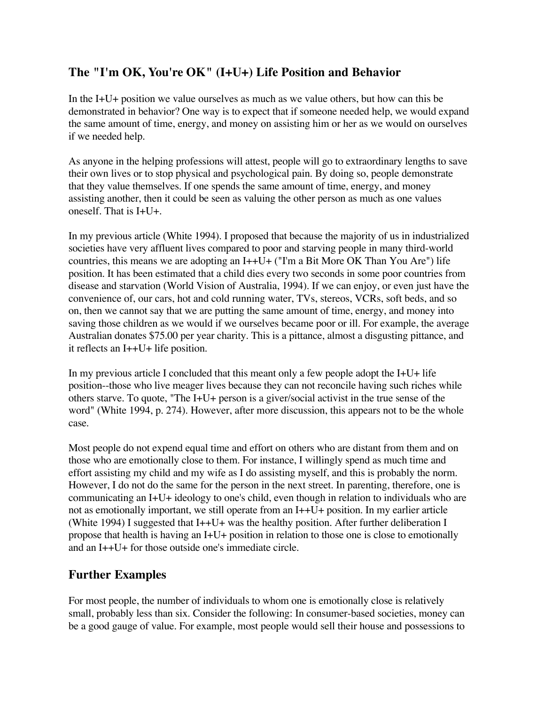# **The "I'm OK, You're OK" (I+U+) Life Position and Behavior**

In the I+U+ position we value ourselves as much as we value others, but how can this be demonstrated in behavior? One way is to expect that if someone needed help, we would expand the same amount of time, energy, and money on assisting him or her as we would on ourselves if we needed help.

As anyone in the helping professions will attest, people will go to extraordinary lengths to save their own lives or to stop physical and psychological pain. By doing so, people demonstrate that they value themselves. If one spends the same amount of time, energy, and money assisting another, then it could be seen as valuing the other person as much as one values oneself. That is I+U+.

In my previous article (White 1994). I proposed that because the majority of us in industrialized societies have very affluent lives compared to poor and starving people in many third-world countries, this means we are adopting an I++U+ ("I'm a Bit More OK Than You Are") life position. It has been estimated that a child dies every two seconds in some poor countries from disease and starvation (World Vision of Australia, 1994). If we can enjoy, or even just have the convenience of, our cars, hot and cold running water, TVs, stereos, VCRs, soft beds, and so on, then we cannot say that we are putting the same amount of time, energy, and money into saving those children as we would if we ourselves became poor or ill. For example, the average Australian donates \$75.00 per year charity. This is a pittance, almost a disgusting pittance, and it reflects an I++U+ life position.

In my previous article I concluded that this meant only a few people adopt the  $I+U+$  life position--those who live meager lives because they can not reconcile having such riches while others starve. To quote, "The I+U+ person is a giver/social activist in the true sense of the word" (White 1994, p. 274). However, after more discussion, this appears not to be the whole case.

Most people do not expend equal time and effort on others who are distant from them and on those who are emotionally close to them. For instance, I willingly spend as much time and effort assisting my child and my wife as I do assisting myself, and this is probably the norm. However, I do not do the same for the person in the next street. In parenting, therefore, one is communicating an I+U+ ideology to one's child, even though in relation to individuals who are not as emotionally important, we still operate from an I++U+ position. In my earlier article (White 1994) I suggested that  $I++U+$  was the healthy position. After further deliberation I propose that health is having an I+U+ position in relation to those one is close to emotionally and an I++U+ for those outside one's immediate circle.

# **Further Examples**

For most people, the number of individuals to whom one is emotionally close is relatively small, probably less than six. Consider the following: In consumer-based societies, money can be a good gauge of value. For example, most people would sell their house and possessions to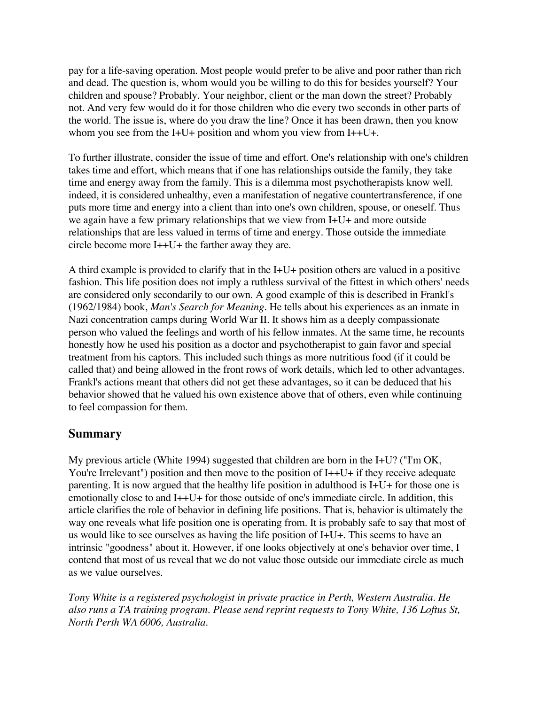pay for a life-saving operation. Most people would prefer to be alive and poor rather than rich and dead. The question is, whom would you be willing to do this for besides yourself? Your children and spouse? Probably. Your neighbor, client or the man down the street? Probably not. And very few would do it for those children who die every two seconds in other parts of the world. The issue is, where do you draw the line? Once it has been drawn, then you know whom you see from the I+U+ position and whom you view from I++U+.

To further illustrate, consider the issue of time and effort. One's relationship with one's children takes time and effort, which means that if one has relationships outside the family, they take time and energy away from the family. This is a dilemma most psychotherapists know well. indeed, it is considered unhealthy, even a manifestation of negative countertransference, if one puts more time and energy into a client than into one's own children, spouse, or oneself. Thus we again have a few primary relationships that we view from I+U+ and more outside relationships that are less valued in terms of time and energy. Those outside the immediate circle become more I++U+ the farther away they are.

A third example is provided to clarify that in the  $I+U+$  position others are valued in a positive fashion. This life position does not imply a ruthless survival of the fittest in which others' needs are considered only secondarily to our own. A good example of this is described in Frankl's (1962/1984) book, *Man's Search for Meaning.* He tells about his experiences as an inmate in Nazi concentration camps during World War II. It shows him as a deeply compassionate person who valued the feelings and worth of his fellow inmates. At the same time, he recounts honestly how he used his position as a doctor and psychotherapist to gain favor and special treatment from his captors. This included such things as more nutritious food (if it could be called that) and being allowed in the front rows of work details, which led to other advantages. Frankl's actions meant that others did not get these advantages, so it can be deduced that his behavior showed that he valued his own existence above that of others, even while continuing to feel compassion for them.

#### **Summary**

My previous article (White 1994) suggested that children are born in the I+U? ("I'm OK, You're Irrelevant") position and then move to the position of I++U+ if they receive adequate parenting. It is now argued that the healthy life position in adulthood is I+U+ for those one is emotionally close to and I++U+ for those outside of one's immediate circle. In addition, this article clarifies the role of behavior in defining life positions. That is, behavior is ultimately the way one reveals what life position one is operating from. It is probably safe to say that most of us would like to see ourselves as having the life position of I+U+. This seems to have an intrinsic "goodness" about it. However, if one looks objectively at one's behavior over time, I contend that most of us reveal that we do not value those outside our immediate circle as much as we value ourselves.

*Tony White is a registered psychologist in private practice in Perth, Western Australia. He also runs a TA training program. Please send reprint requests to Tony White, 136 Loftus St, North Perth WA 6006, Australia.*